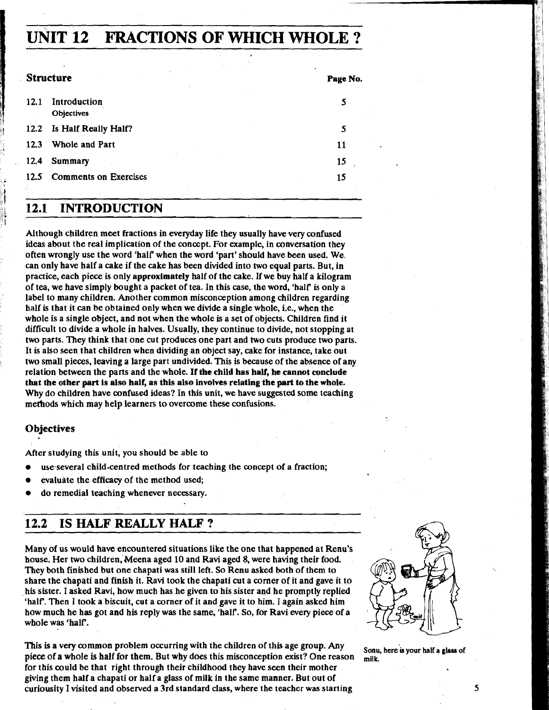# **UNIT 12 FRACTIONS OF WHICH WHOLE** ?

|      | <b>Structure</b>             | Page No. |
|------|------------------------------|----------|
| 12.1 | Introduction<br>Objectives   | 5        |
| 12.2 | Is Half Really Half?         |          |
| 12.3 | Whole and Part               | 11       |
| 12.4 | <b>Summary</b>               | 15       |
| 12.5 | <b>Comments on Exercises</b> | 15       |

# ; **12.1 INTRODUCTION**

Although children meet fractions in everyday life they usually have very confused ideas about the real implication of the concept. For example, in conversation they often wrongly use the word 'half' when the word 'pan' should have been used. We. can only have half a cake if the cake has been divided into two equal parts. But, in practice, each piece is only approximately half of the cake. If we buy half a kilogram of tea, we have simply bought a packet of tea. In this case, the word, 'half is only a label to many children. Another common misconception among children regarding half is that it can be obtained only when we divide a single whole, i.e., when the whole is a single object, and not when the whole is a set of objects. Children find it difficult to divide a whole in halves. Usually, they continue to divide, not stopping at two parts. They think that one cut produces one part and two cuts produce two parts. It is also seen that children when dividing an object say, cake for instance, take out two small pieces, leaving a large part undivided. This is because of the absence of any relation between the parts and the whole. If the child has half, he cannot conclude that the other part is also half, as this also involves relating the part to the whole. Why do children have confused ideas? In this unit, we have suggested some teaching methods which may help learners to overcome these confusions.

#### **Objectives**

)  $\sum_{i=1}^N \frac{1}{i}$ 

After studying this unit, you should be able to

- use-several child-centred methods for teaching the concept of a fraction;
- evaluate the efficacy of the method used;
- do remedial teaching whenever necessary.

# **12.2 IS HALF REALLY HALF** ?

Many of us would have encountered situations like the one that happened at Renu's house. Her two children, Meena aged **10** and Ravi aged 8, were having their food. They both finished but one chapati was still left. So Renu asked both of them to share the chapati and finish it. Ravi took the chapati cut a corner of it and gave it to his sister. I asked Ravi, how much has he given to his sister and he promptly replied 'half. Then I took a biscuit, cut a corner of it and gave it to him. I again asked him how much he has got and his reply was the same, 'half'. So, for Ravi every piece of a whole was 'half.

This is a very common problem occurring with the children of this age group. Any Sonu, here is your half a glass of piece of a whole is half for them. But why does this misconception exist? One reason milk. piece of a whole is half for them. But why does this misconception exist? One reason for this could be that right through their childhood they have seen their mother giving them half a chapati or half a glass of milk in the same manner. But out of curiousity I visited and observed a 3rd standard class, where the teacher was starting **5** 

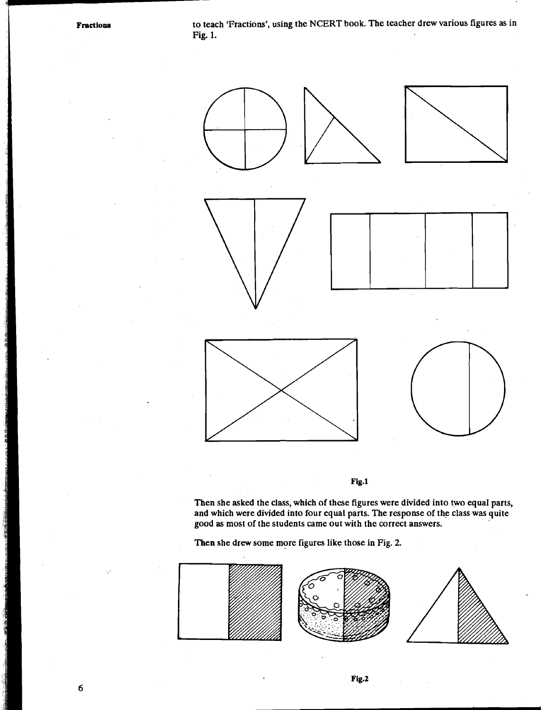**Fractions** to teach 'Fractions', using the NCERT book. The teacher drew various figures as in Fig. 1.



Fig.1

Then she asked the class, which of these figures were divided into two equal parts, and which were divided into four equal parts. The response of the class was quite good as most of the students came out with the correct answers.

Then she drew some more figures like those in Fig. 2.

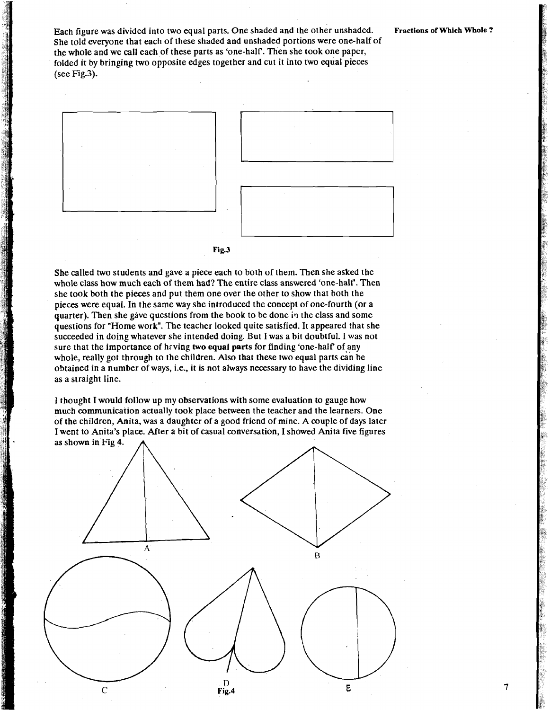Each figure was divided into two equal parts. One shaded and the other unshaded. **Fractions of Which Whole** ? She told everyone that each of these shaded and unshaded portions were one-half of the whole and we call each of these parts as 'one-half. Then she took one paper, folded it by bringing two opposite edges together and cut it into two equal pieces (see Fig.3).

7



#### **Fig.3**

She called two students and gave a piece each to both of them. Then she asked the whole class how much each of them had? The entire class answered 'one-halt'. Then she took both the pieces and put them one over the other to show that both the pieces were equal. In the same way she introduced the concept of one-fourth (or a quarter). Then she gave questions from the book to be done in the class and some questions for "Home work". The teacher looked quite satisfied. It appeared that she succeeded in doing whatever she intended doing. But I was a bit doubtful. I was not sure that the importance of having two equal parts for finding 'one-half' of any whole, really got through to the children. Also that these two equal parts **&n** be obtained in a number of ways, i.e., it is not always necessary to have the dividing line as a straight line.

I thought I would follow up my observations with some evaluation to gauge how much communication actually took place between the teacher and the learners. One of the children, Anita, was a daughter of a good friend of mine. A couple of days later I went to Anita's place. After a bit of casual conversation, I showed Anita five figures as shown in Fig 4.

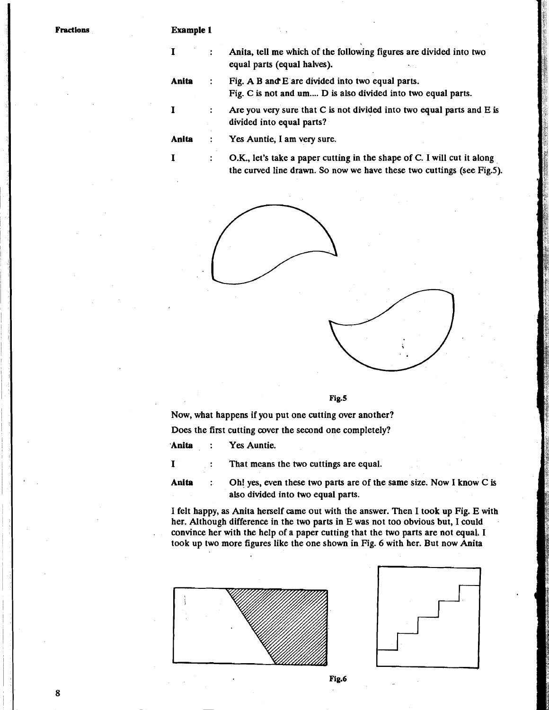#### **Example 1**

| I        |                      | Anita, tell me which of the following figures are divided into two<br>equal parts (equal halves).                                                |
|----------|----------------------|--------------------------------------------------------------------------------------------------------------------------------------------------|
| Anita    |                      | Fig. A B and E are divided into two equal parts.<br>Fig. C is not and um D is also divided into two equal parts.                                 |
| $\bf{I}$ | $\ddot{\phantom{a}}$ | Are you very sure that $C$ is not divided into two equal parts and $E$ is<br>divided into equal parts?                                           |
| Anita    |                      | Yes Auntie, I am very sure.                                                                                                                      |
| $\bf{I}$ | :                    | O.K., let's take a paper cutting in the shape of C. I will cut it along<br>the curved line drawn. So now we have these two cuttings (see Fig.5). |





**Fig.5** 

Now, what happens if you put one cutting over another?

Does the first cutting cover the second one completely?

**'Anita** : Yes Auntie.

<sup>I</sup>: That means the two cuttings are equal.

Anita : Oh! yes, even these two parts are of the same size. Now I know C is also divided into two equal parts.

I felt happy, as Anita herself came out with the answer. Then I took up Fig. E with her. Although difference in the two parts in E was not too obvious but, I could . convince her with the help of a paper cutting that the two parts are not equal, I took up two more figures like the one shown in Fig. 6 with her. But now Anita





Fig.6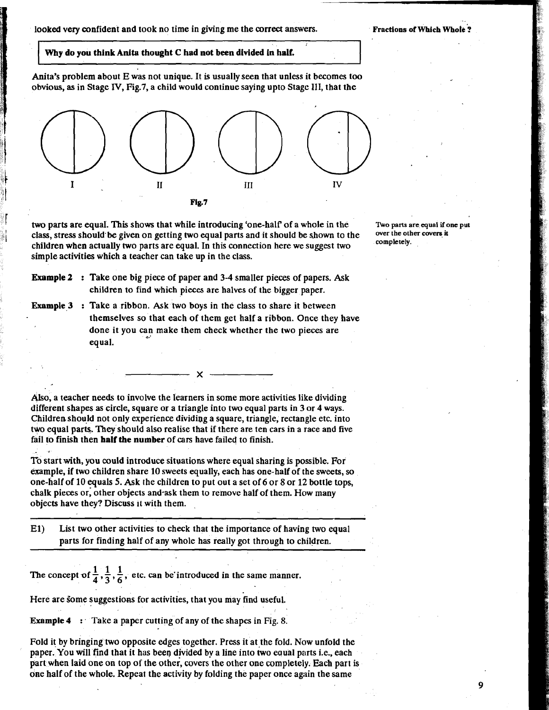**looked** very confident and took no time in giving me the **correct** answers. **Fractions of Which Whole** ?

--

ğ

#### Why do you think Anita thought C had not been divided in half.

Anita's problem about E was not unique. It is usually seen that unless it becomes too obvious, as in Stage **IV,** Fig.7, a child would continue saying upto Stage 111, that the



two parts are equal. This shows that while introducing 'one-half' of a whole in the *State of the shows if one put* class stress should be given on getting two equal parts and it should be shown to the over the other cov class, stress should be given on getting two equal parts and it should be shown to the **Overthe Office** Ores and it is a property of the **COMPLE** children when actually two parts are equal. In this connection here we suggest two simple activities which a teacher can take up in the class.

- **Example 2** : Take one big piece of paper and 3-4 smaller pieces of papers. Ask children to find which pieces are halves of the bigger paper.
- Example 3 : Take a ribbon. Ask two boys in the class to share it between themselves so that each of them get half a ribbon. Once they have done it you can make them check whether the two pieces are equal.

Also, a teacher needs to involve the learners in some more activities like dividing different shapes as circle, square or a triangle into two equal parts in 3 or 4 ways. Children should not only experience dividiog a square, triangle, rectangle etc. into two equal parts. They should also realise that if there are ten cars in a race and five fail to finish then half the number of cars have failed to finish.  $\mathcal{L}^{\text{max}}$ 

To start with, you could introduce situations where equal sharing is possible. For example, if two children share 10 sweets equally, each has one-half of the sweets, so one-half of 10 equals 5. Ask the children to put out a set of 6 or 8 or 12 bottle tops, chalk pieces or; other objects and\*ask them to remove half of them. How many objects have they? Discuss it with them. .

El) List two other activities to check that the importance of having two equal parts for finding half of any whole has really got through to children.

The concept of  $\frac{1}{4}$ ,  $\frac{1}{3}$ ,  $\frac{1}{6}$ , etc. can be introduced in the same manner.

Here are some suggestions for activities, that you may find useful.

Example 4 : Take a paper cutting of any of the shapes in Fig. 8.

Fold it by bringing two opposite edges together. Press it at the fold. Now unfold the paper. You will find that it has been divided by a line into two equal parts i.e., each part when laid one on top of the other, covers the other one completely. Each part is one half of the whole. Repeat the activity by folding the paper once again the same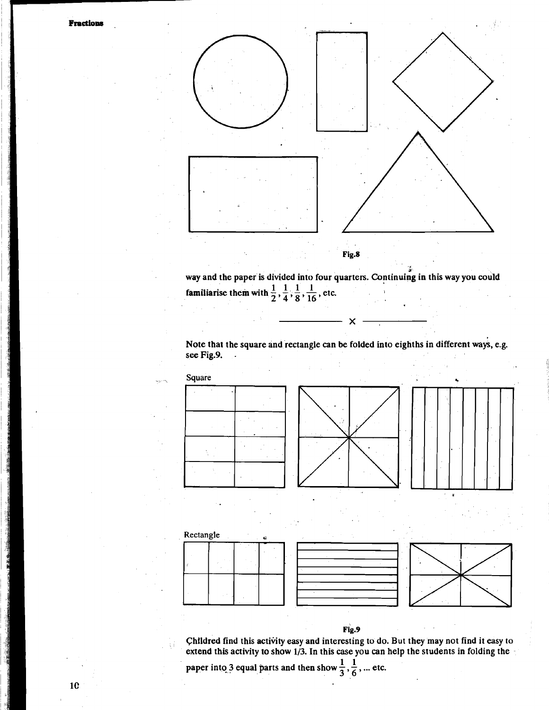

way and the paper is divided into four quarters. Continuing in this way you could familiarise them with  $\frac{1}{2}$ ,  $\frac{1}{4}$ ,  $\frac{1}{8}$ ,  $\frac{1}{16}$ , etc.

Note that the square and rectangle can be folded into eighths in different ways, e.g. see Fig.9.

 $\boldsymbol{\mathsf{x}}$ 









 ${\bf Fig.9}$ 

Childred find this activity easy and interesting to do. But they may not find it easy to extend this activity to show 1/3. In this case you can help the students in folding the

paper into 3 equal parts and then show  $\frac{1}{3}$ ,  $\frac{1}{6}$ , ...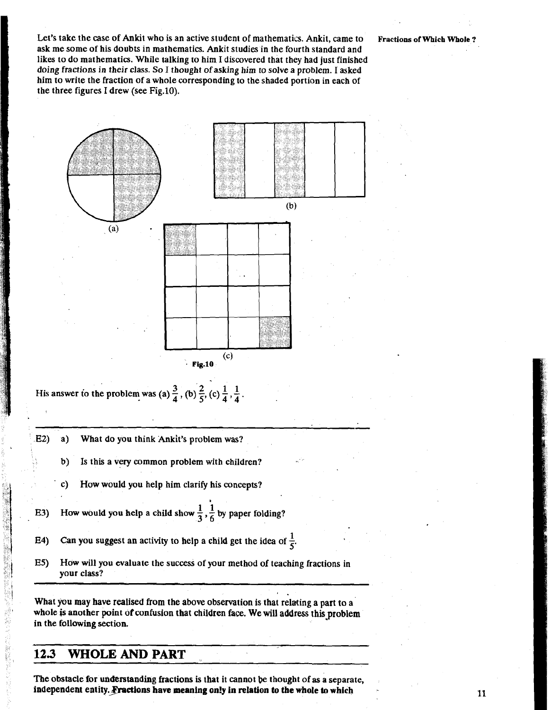-



 $\cdot$  Fig.10 His answer to the problem was (a)  $\frac{3}{4}$ , (b)  $\frac{2}{5}$ , (c)  $\frac{1}{4}$ ,  $\frac{1}{4}$ .

- E2) a) What do you think Ankit's problem was?
	- b) Is this a very common problem with children?
	- c) How would you help him clarify his concepts?
- E3) How would you help a child show  $\frac{1}{3}$ ,  $\frac{1}{6}$  by paper folding?
- **124)** Can you suggest an activity to help a child get the idea of  $\frac{1}{5}$ .
- **E5)** How will you evaluate the success of your method of teaching fractions in your class?

@

 $(c)$ 

What you may have realised **from** the above observation is that relating a part to a whole is another point of confusion that children face. We will address this problem in the following section.

1.

### **123 WHOLE AND PART**

**The** obstacle for understanding fractions is that it cannot be thought of **as** a separate, independent entity. Fractions have meaning only in relation to the whole to which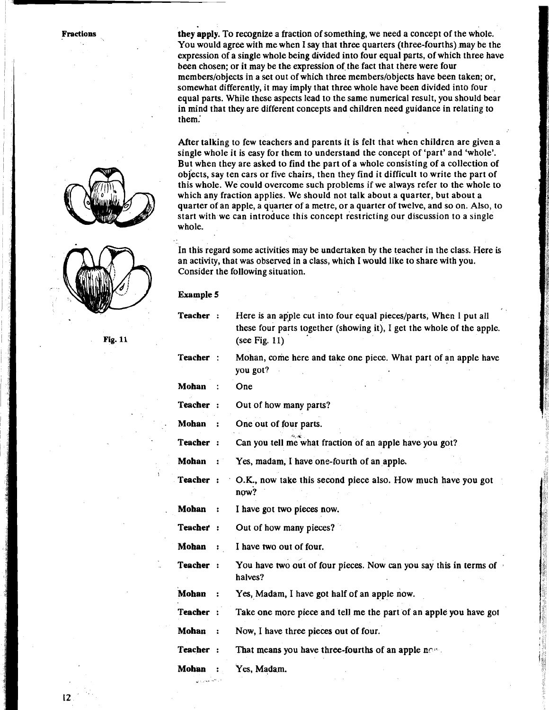**Fractions** 





**they apply.** To recognize a fraction of something, we need a concept of the whole. You would agree with me when I say that three quarters (three-fourths) may be the expression of a single whole being divided into four equal parts, of which three have been chosen; or it may be the expression of the fact that there were four members/objects in a set out of which three members/objects have been taken; or, somewhat differently, it may imply that three whole have been divided into four equal parts. While these aspects lead to the same numerical result, you should bear in mind that they are different concepts and children need guidance in relating to them.'

After talking to few teachers and parents it is felt that when children are given a single whole it is easy for them to understand the concept of 'part' and 'whole'. But when they are asked to find the part of a whole consisting of a collection of objects, say ten cars or five chairs, then they find it difficult to write the part of this whole. We could overcome such problems if we always refer to the whole to which any fraction applies. We should not talk about a quarter, but about a quarter of an apple, a quarter of a metre, or a quarter of twelve, and so on. Also, to start with we can introduce this concept restricting our discussion to a single whole.

In this regard some activities may be undertaken by the teacher in the class. Here is an activity, that was observed in a class, which I would like to share with you. Consider the following situation.

| Example |  |
|---------|--|
|---------|--|

| Teacher :    |                | Here is an apple cut into four equal pieces/parts, When I put all<br>these four parts together (showing it), I get the whole of the apple.<br>(see Fig. $11$ ) |
|--------------|----------------|----------------------------------------------------------------------------------------------------------------------------------------------------------------|
| Teacher :    |                | Mohan, come here and take one piece. What part of an apple have<br>you got?                                                                                    |
| Mohan        |                | One                                                                                                                                                            |
| Teacher:     |                | Out of how many parts?                                                                                                                                         |
| Mohan        | $\mathbf{r}$   | One out of four parts.                                                                                                                                         |
| Teacher:     |                | Can you tell me what fraction of an apple have you got?                                                                                                        |
| Mohan        | $\ddot{\cdot}$ | Yes, madam, I have one-fourth of an apple.                                                                                                                     |
| Teacher:     |                | O.K., now take this second piece also. How much have you got<br>now?                                                                                           |
| Mohan        |                | I have got two pieces now.                                                                                                                                     |
| Teacher :    |                | Out of how many pieces?                                                                                                                                        |
| Mohan        |                | I have two out of four.                                                                                                                                        |
| Teacher:     |                | You have two out of four pieces. Now can you say this in terms of<br>halves?                                                                                   |
| Mohan        | . .            | Yes, Madam, I have got half of an apple now.                                                                                                                   |
| Teacher :    |                | Take one more piece and tell me the part of an apple you have got                                                                                              |
| Mohan        | $\ddot{\cdot}$ | Now, I have three pieces out of four.                                                                                                                          |
| Teacher:     |                | That means you have three-fourths of an apple now.                                                                                                             |
| <b>Mohan</b> |                | Yes, Madam.                                                                                                                                                    |
| والحدامين    |                |                                                                                                                                                                |

**Fig. 11**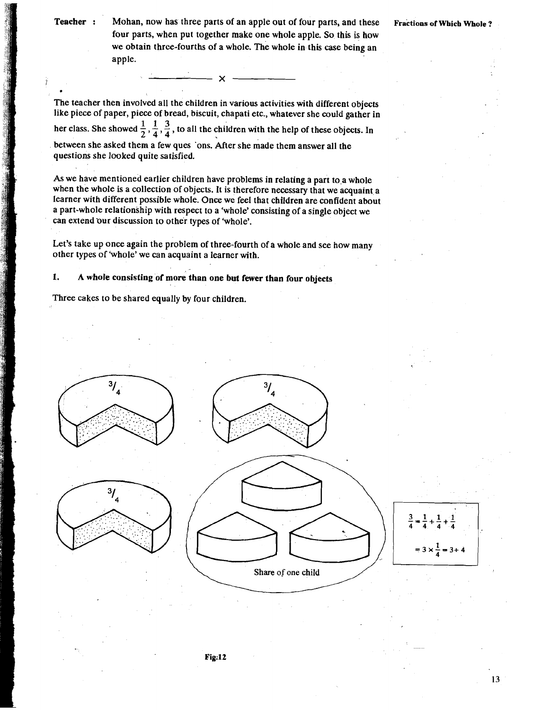.

**Teacher** : Mohan, now has three parts of an apple out of four parts, and these **Fractions of Which Whole** ? four parts, when put together make one whole apple. So this is how we obtain three-fourths of a whole. The whole in this case being an apple.

The teacher then involved all the children in various activities with different objects like piece of paper, piece of bread, biscuit, chapati etc., whatever she could gather in her class. She showed  $\frac{1}{2}$ ,  $\frac{1}{4}$ ,  $\frac{3}{4}$ , to all the children with the help of these objects. In between she asked them a few ques 'ons. After she made them answer all the questions she looked quite satisfied.

As we have mentioned earlier children have problems in relating a part to a whole when the whole is a collection of objects. It is therefore necessary that we acquaint a learner with different possible whole. Once we feel that children are confident about a part-whole relationship with respect to a 'whole' consisting of a single object we can extend our discussion to other types of 'whole'.

Let's take up once again the problem of three-fourth of a whole and see how many other types of 'whole' we can acquaint a learner with.

1. A whole consisting of more than one but fewer than four objects

Three cakes to be shared equally by four children.

 $\overline{\phantom{a}}$   $\overline{\phantom{a}}$   $\overline{\phantom{a}}$   $\overline{\phantom{a}}$   $\overline{\phantom{a}}$   $\overline{\phantom{a}}$   $\overline{\phantom{a}}$   $\overline{\phantom{a}}$   $\overline{\phantom{a}}$   $\overline{\phantom{a}}$   $\overline{\phantom{a}}$   $\overline{\phantom{a}}$   $\overline{\phantom{a}}$   $\overline{\phantom{a}}$   $\overline{\phantom{a}}$   $\overline{\phantom{a}}$   $\overline{\phantom{a}}$   $\overline{\phantom{a}}$   $\overline{\$ 

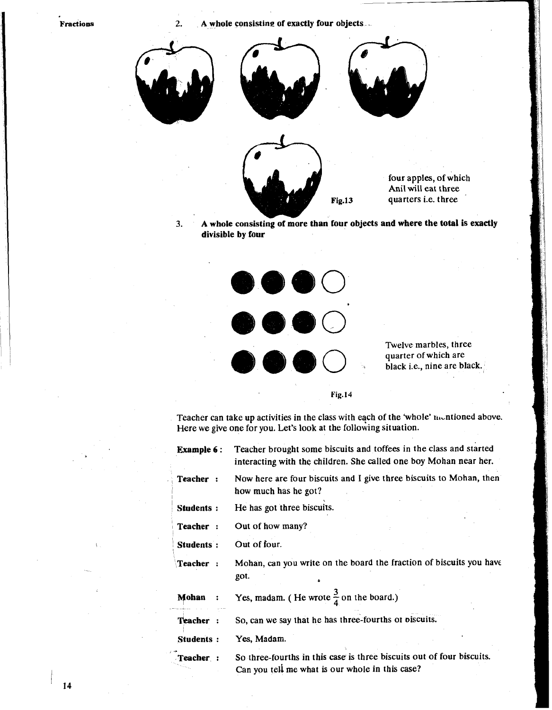**Fractions** 

2. **A whole consisting of exactly four objects** -



**3. A whole consisting of more than four objects and where the total is exactly divisible by four** 



Twelve marbles. three quarter of which are black i.e., nine are black.

**Fig. 14** 

Teacher can take up activities in the class with each of the 'whole' mentioned above. Here we give one for you. Let's look at the following situation.

| <b>Example 6:</b> | Teacher brought some biscuits and toffees in the class and started<br>interacting with the children. She called one boy Mohan near her. |
|-------------------|-----------------------------------------------------------------------------------------------------------------------------------------|
| Teacher:          | Now here are four biscuits and I give three biscuits to Mohan, then<br>how much has he got?                                             |
| Students:         | He has got three biscuits.                                                                                                              |
| Teacher:          | Out of how many?                                                                                                                        |
| Students:         | Out of four.                                                                                                                            |
| Teacher:          | Mohan, can you write on the board the fraction of biscuits you have<br>got.                                                             |
| Mohan             | Yes, madam. (He wrote $\frac{3}{4}$ on the board.)                                                                                      |
| Teacher :         | So, can we say that he has three-fourths or oiscuits.                                                                                   |
| <b>Students:</b>  | Yes, Madam.                                                                                                                             |
| Teacher:          | So three-fourths in this case is three biscuits out of four biscuits.<br>Can you tell me what is our whole in this case?                |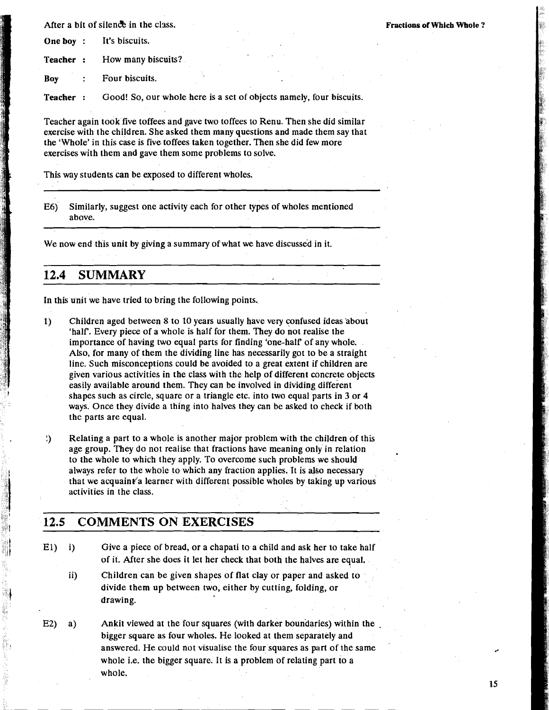After a bit of silence in the class. **Fractions of Which Whole** ?

**One boy** : It's biscuits.

**Teacher** : How many biscuits?

**BOY** : Four biscuits.

**Teacher** : Good! So, our whole here is a set of objects namely, four biscuits.

Teacher again took five toffees and gave two toffees to Renu. Then she did similar exercise with the children. She asked them many questions and made them say that the 'Whole' in this case is five toffees taken together. Then she did few more exercises with them and gave them some problems ta solve.

This way students can be exposed to different wholes.

E6) Similarly, suggest one activity each for other types of wholes mentioned above.

We now end this unit by giving a summary of what we have discussed in it.

### **12.4 SUMMARY**

In this unit we have tried to bring the following points.

1) Children aged between 8 to 10 years usually have very confused ideas 'about 'half. Every piece of a whole is half for them. They do not realise the importance of having two equal parts for finding 'one-half of any whole. Also, for many of them the dividing line has necessarily got to be a straight line. Such misconceptions could be avoided to a great extent if children are given various activities in the class with the help of different concrete objects easily available around them. They can be involved in dividing different shapes such as circle, square or a triangle etc. into two equal parts in 3 or 4 ways. Once they divide a thing into halves they can be asked to check if both the parts are equal.

! Relating a part to a whole is another major problem with the children of this age group. They do not realise that fractions have meaning only in relation to the whole to which they apply. To overcome such problems we should always refer to the whole to which any fraction applies. It is also necessary that we acquaint a learner with different possible wholes by taking up various activities in the class.

### **12.5 COMMENTS ON EXERCISES**

- El) i) Give a piece of bread, or a chapati to a child and ask her to take half of it. After she does it let her check that both the halves are equal.
	- ii) Children can be given shapes of flat clay or paper and asked to divide them up between two, either by cutting, folding, or drawing.
- **E2)** a) Ankit viewed at the four squares (with darker boundaries) within the bigger square as four wholes. He looked at them separately and answered. He could not visualise the four squares as part of the same whole i.e. the bigger square. It is a problem of relating part to a whole.